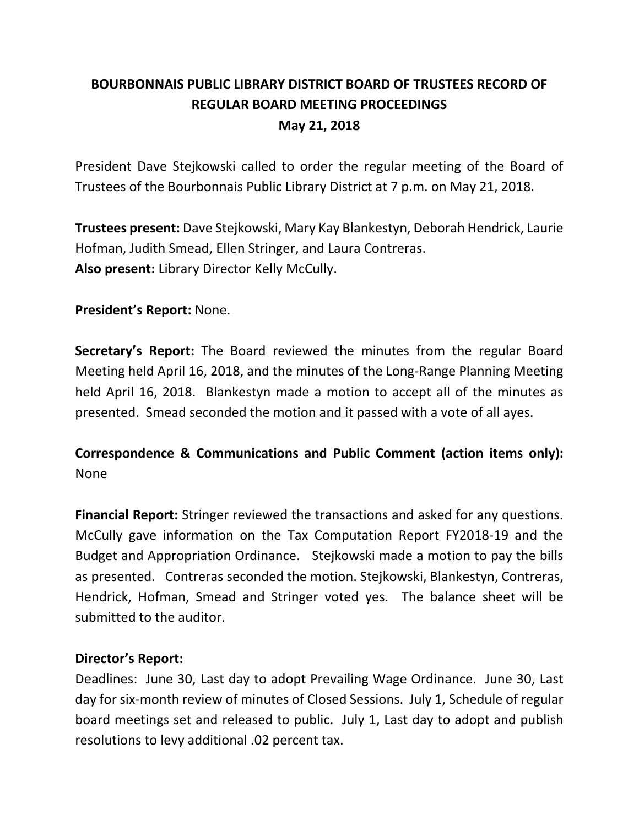# **BOURBONNAIS PUBLIC LIBRARY DISTRICT BOARD OF TRUSTEES RECORD OF REGULAR BOARD MEETING PROCEEDINGS May 21, 2018**

President Dave Stejkowski called to order the regular meeting of the Board of Trustees of the Bourbonnais Public Library District at 7 p.m. on May 21, 2018.

**Trustees present:** Dave Stejkowski, Mary Kay Blankestyn, Deborah Hendrick, Laurie Hofman, Judith Smead, Ellen Stringer, and Laura Contreras. **Also present:** Library Director Kelly McCully.

**President's Report:** None.

**Secretary's Report:** The Board reviewed the minutes from the regular Board Meeting held April 16, 2018, and the minutes of the Long-Range Planning Meeting held April 16, 2018. Blankestyn made a motion to accept all of the minutes as presented. Smead seconded the motion and it passed with a vote of all ayes.

**Correspondence & Communications and Public Comment (action items only):** None

**Financial Report:** Stringer reviewed the transactions and asked for any questions. McCully gave information on the Tax Computation Report FY2018-19 and the Budget and Appropriation Ordinance. Stejkowski made a motion to pay the bills as presented. Contreras seconded the motion. Stejkowski, Blankestyn, Contreras, Hendrick, Hofman, Smead and Stringer voted yes. The balance sheet will be submitted to the auditor.

# **Director's Report:**

Deadlines: June 30, Last day to adopt Prevailing Wage Ordinance. June 30, Last day for six-month review of minutes of Closed Sessions. July 1, Schedule of regular board meetings set and released to public. July 1, Last day to adopt and publish resolutions to levy additional .02 percent tax.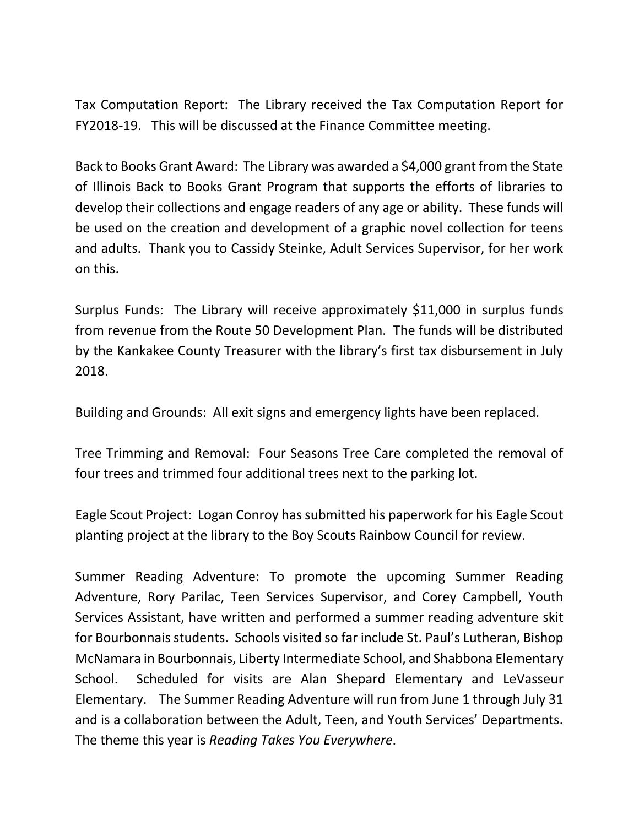Tax Computation Report: The Library received the Tax Computation Report for FY2018-19. This will be discussed at the Finance Committee meeting.

Back to Books Grant Award: The Library was awarded a \$4,000 grant from the State of Illinois Back to Books Grant Program that supports the efforts of libraries to develop their collections and engage readers of any age or ability. These funds will be used on the creation and development of a graphic novel collection for teens and adults. Thank you to Cassidy Steinke, Adult Services Supervisor, for her work on this.

Surplus Funds: The Library will receive approximately \$11,000 in surplus funds from revenue from the Route 50 Development Plan. The funds will be distributed by the Kankakee County Treasurer with the library's first tax disbursement in July 2018.

Building and Grounds: All exit signs and emergency lights have been replaced.

Tree Trimming and Removal: Four Seasons Tree Care completed the removal of four trees and trimmed four additional trees next to the parking lot.

Eagle Scout Project: Logan Conroy has submitted his paperwork for his Eagle Scout planting project at the library to the Boy Scouts Rainbow Council for review.

Summer Reading Adventure: To promote the upcoming Summer Reading Adventure, Rory Parilac, Teen Services Supervisor, and Corey Campbell, Youth Services Assistant, have written and performed a summer reading adventure skit for Bourbonnais students. Schools visited so far include St. Paul's Lutheran, Bishop McNamara in Bourbonnais, Liberty Intermediate School, and Shabbona Elementary School. Scheduled for visits are Alan Shepard Elementary and LeVasseur Elementary. The Summer Reading Adventure will run from June 1 through July 31 and is a collaboration between the Adult, Teen, and Youth Services' Departments. The theme this year is *Reading Takes You Everywhere*.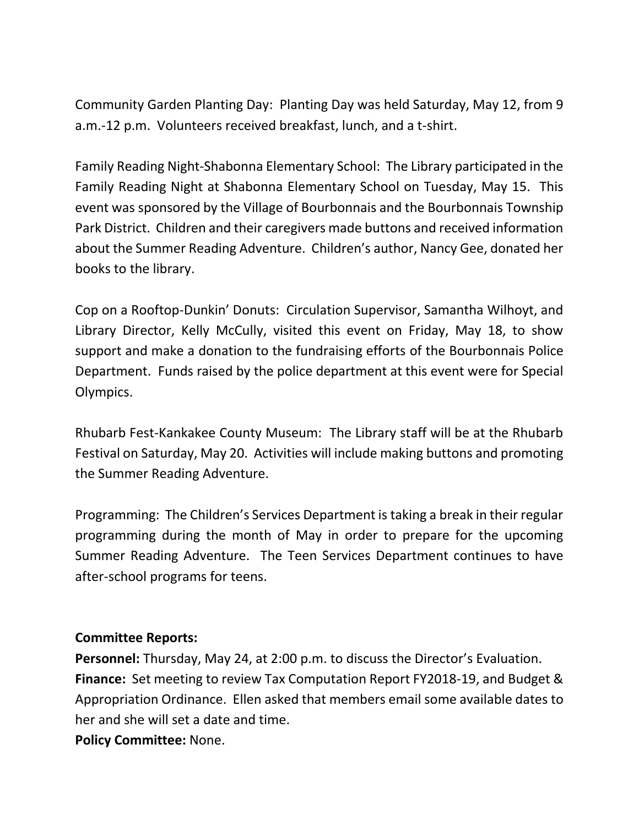Community Garden Planting Day: Planting Day was held Saturday, May 12, from 9 a.m.-12 p.m. Volunteers received breakfast, lunch, and a t-shirt.

Family Reading Night-Shabonna Elementary School: The Library participated in the Family Reading Night at Shabonna Elementary School on Tuesday, May 15. This event was sponsored by the Village of Bourbonnais and the Bourbonnais Township Park District. Children and their caregivers made buttons and received information about the Summer Reading Adventure. Children's author, Nancy Gee, donated her books to the library.

Cop on a Rooftop-Dunkin' Donuts: Circulation Supervisor, Samantha Wilhoyt, and Library Director, Kelly McCully, visited this event on Friday, May 18, to show support and make a donation to the fundraising efforts of the Bourbonnais Police Department. Funds raised by the police department at this event were for Special Olympics.

Rhubarb Fest-Kankakee County Museum: The Library staff will be at the Rhubarb Festival on Saturday, May 20. Activities will include making buttons and promoting the Summer Reading Adventure.

Programming: The Children's Services Department is taking a break in their regular programming during the month of May in order to prepare for the upcoming Summer Reading Adventure. The Teen Services Department continues to have after-school programs for teens.

#### **Committee Reports:**

**Personnel:** Thursday, May 24, at 2:00 p.m. to discuss the Director's Evaluation. **Finance:** Set meeting to review Tax Computation Report FY2018-19, and Budget & Appropriation Ordinance. Ellen asked that members email some available dates to her and she will set a date and time.

**Policy Committee:** None.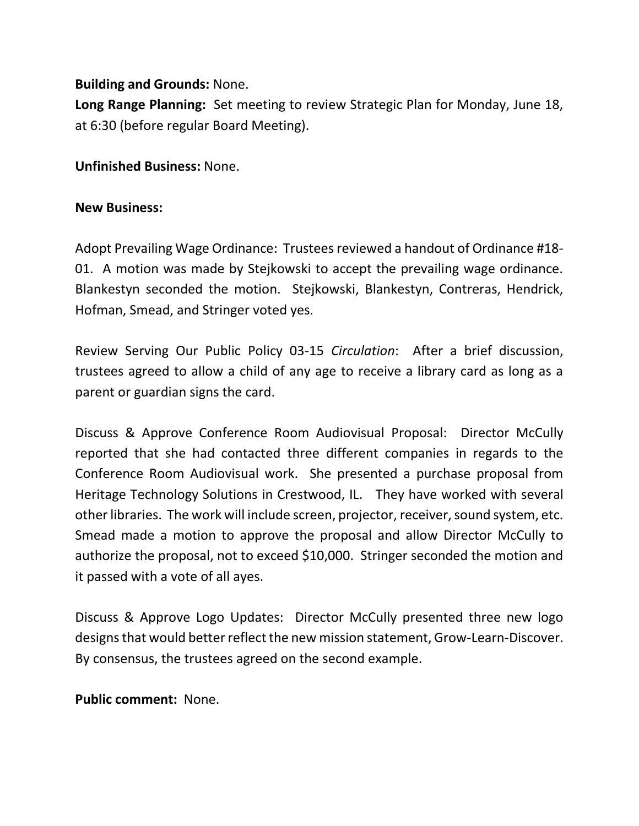## **Building and Grounds:** None.

**Long Range Planning:** Set meeting to review Strategic Plan for Monday, June 18, at 6:30 (before regular Board Meeting).

**Unfinished Business:** None.

### **New Business:**

Adopt Prevailing Wage Ordinance: Trustees reviewed a handout of Ordinance #18- 01. A motion was made by Stejkowski to accept the prevailing wage ordinance. Blankestyn seconded the motion. Stejkowski, Blankestyn, Contreras, Hendrick, Hofman, Smead, and Stringer voted yes.

Review Serving Our Public Policy 03-15 *Circulation*: After a brief discussion, trustees agreed to allow a child of any age to receive a library card as long as a parent or guardian signs the card.

Discuss & Approve Conference Room Audiovisual Proposal: Director McCully reported that she had contacted three different companies in regards to the Conference Room Audiovisual work. She presented a purchase proposal from Heritage Technology Solutions in Crestwood, IL. They have worked with several other libraries. The work will include screen, projector, receiver, sound system, etc. Smead made a motion to approve the proposal and allow Director McCully to authorize the proposal, not to exceed \$10,000. Stringer seconded the motion and it passed with a vote of all ayes.

Discuss & Approve Logo Updates: Director McCully presented three new logo designs that would better reflect the new mission statement, Grow-Learn-Discover. By consensus, the trustees agreed on the second example.

**Public comment:** None.